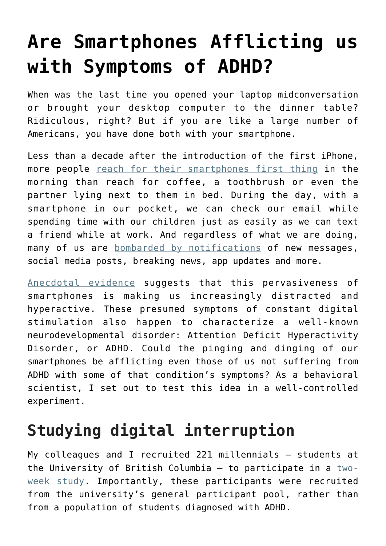## **[Are Smartphones Afflicting us](https://intellectualtakeout.org/2016/05/are-smartphones-afflicting-us-with-symptoms-of-adhd/) [with Symptoms of ADHD?](https://intellectualtakeout.org/2016/05/are-smartphones-afflicting-us-with-symptoms-of-adhd/)**

When was the last time you opened your laptop midconversation or brought your desktop computer to the dinner table? Ridiculous, right? But if you are like a large number of Americans, you have done both with your smartphone.

Less than a decade after the introduction of the first iPhone, more people [reach for their smartphones first thing](http://newsroom.bankofamerica.com/files/doc_library/additional/2015_BAC_Trends_in_Consumer_Mobility_Report.pdf) in the morning than reach for coffee, a toothbrush or even the partner lying next to them in bed. During the day, with a smartphone in our pocket, we can check our email while spending time with our children just as easily as we can text a friend while at work. And regardless of what we are doing, many of us are [bombarded by notifications](http://www.kpcb.com/blog/2013-internet-trends) of new messages, social media posts, breaking news, app updates and more.

[Anecdotal evidence](http://www.wnyc.org/story/you-will-be-distracted-while-you-listen-podcast/) suggests that this pervasiveness of smartphones is making us increasingly distracted and hyperactive. These presumed symptoms of constant digital stimulation also happen to characterize a well-known neurodevelopmental disorder: Attention Deficit Hyperactivity Disorder, or ADHD. Could the pinging and dinging of our smartphones be afflicting even those of us not suffering from ADHD with some of that condition's symptoms? As a behavioral scientist, I set out to test this idea in a well-controlled experiment.

## **Studying digital interruption**

My colleagues and I recruited 221 millennials – students at the University of British Columbia  $-$  to participate in a  $two$ [week study](http://dx.doi.org/10.1145/2858036.2858359). Importantly, these participants were recruited from the university's general participant pool, rather than from a population of students diagnosed with ADHD.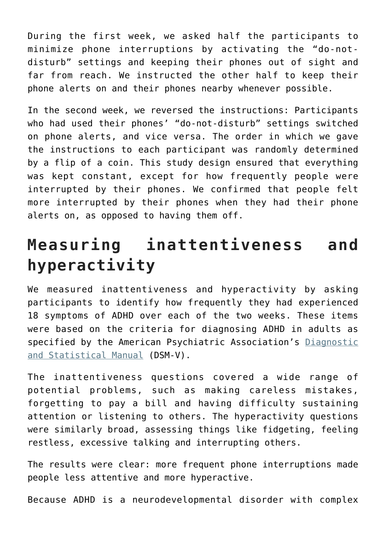During the first week, we asked half the participants to minimize phone interruptions by activating the "do-notdisturb" settings and keeping their phones out of sight and far from reach. We instructed the other half to keep their phone alerts on and their phones nearby whenever possible.

In the second week, we reversed the instructions: Participants who had used their phones' "do-not-disturb" settings switched on phone alerts, and vice versa. The order in which we gave the instructions to each participant was randomly determined by a flip of a coin. This study design ensured that everything was kept constant, except for how frequently people were interrupted by their phones. We confirmed that people felt more interrupted by their phones when they had their phone alerts on, as opposed to having them off.

## **Measuring inattentiveness and hyperactivity**

We measured inattentiveness and hyperactivity by asking participants to identify how frequently they had experienced 18 symptoms of ADHD over each of the two weeks. These items were based on the criteria for diagnosing ADHD in adults as specified by the American Psychiatric Association's [Diagnostic](http://www.dsm5.org/Pages/Default.aspx) [and Statistical Manual](http://www.dsm5.org/Pages/Default.aspx) (DSM-V).

The inattentiveness questions covered a wide range of potential problems, such as making careless mistakes, forgetting to pay a bill and having difficulty sustaining attention or listening to others. The hyperactivity questions were similarly broad, assessing things like fidgeting, feeling restless, excessive talking and interrupting others.

The results were clear: more frequent phone interruptions made people less attentive and more hyperactive.

Because ADHD is a neurodevelopmental disorder with complex